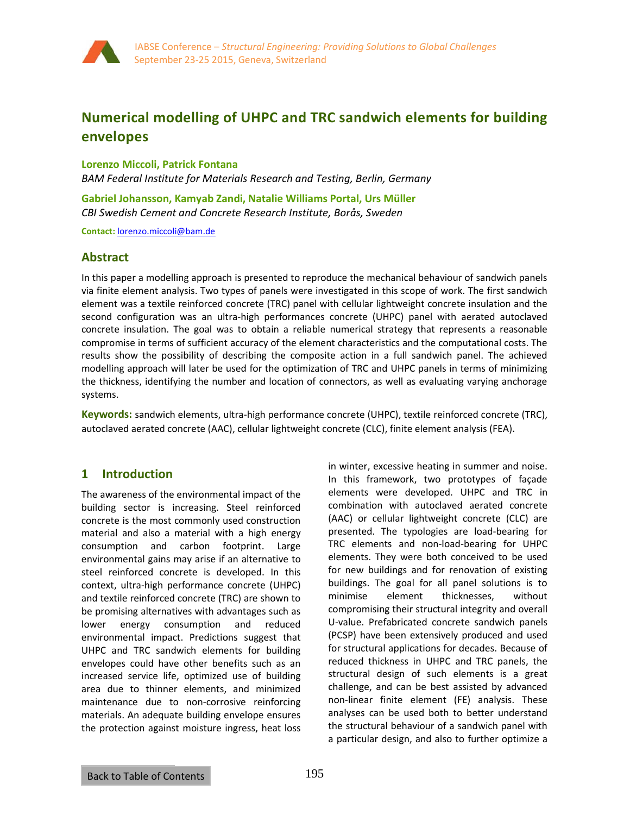

# **Numerical modelling of UHPC and TRC sandwich elements for building envelopes**

**Lorenzo Miccoli, Patrick Fontana** 

*BAM Federal Institute for Materials Research and Testing, Berlin, Germany* 

**Gabriel Johansson, Kamyab Zandi, Natalie Williams Portal, Urs Müller**  *CBI Swedish Cement and Concrete Research Institute, Borås, Sweden*

**Contact:** lorenzo.miccoli@bam.de

# **Abstract**

In this paper a modelling approach is presented to reproduce the mechanical behaviour of sandwich panels via finite element analysis. Two types of panels were investigated in this scope of work. The first sandwich element was a textile reinforced concrete (TRC) panel with cellular lightweight concrete insulation and the second configuration was an ultra-high performances concrete (UHPC) panel with aerated autoclaved concrete insulation. The goal was to obtain a reliable numerical strategy that represents a reasonable compromise in terms of sufficient accuracy of the element characteristics and the computational costs. The results show the possibility of describing the composite action in a full sandwich panel. The achieved modelling approach will later be used for the optimization of TRC and UHPC panels in terms of minimizing the thickness, identifying the number and location of connectors, as well as evaluating varying anchorage systems.

**Keywords:** sandwich elements, ultra-high performance concrete (UHPC), textile reinforced concrete (TRC), autoclaved aerated concrete (AAC), cellular lightweight concrete (CLC), finite element analysis (FEA).

# **1 Introduction**

The awareness of the environmental impact of the building sector is increasing. Steel reinforced concrete is the most commonly used construction material and also a material with a high energy consumption and carbon footprint. Large environmental gains may arise if an alternative to steel reinforced concrete is developed. In this context, ultra-high performance concrete (UHPC) and textile reinforced concrete (TRC) are shown to be promising alternatives with advantages such as lower energy consumption and reduced environmental impact. Predictions suggest that UHPC and TRC sandwich elements for building envelopes could have other benefits such as an increased service life, optimized use of building area due to thinner elements, and minimized maintenance due to non-corrosive reinforcing materials. An adequate building envelope ensures the protection against moisture ingress, heat loss in winter, excessive heating in summer and noise. In this framework, two prototypes of façade elements were developed. UHPC and TRC in combination with autoclaved aerated concrete (AAC) or cellular lightweight concrete (CLC) are presented. The typologies are load-bearing for TRC elements and non-load-bearing for UHPC elements. They were both conceived to be used for new buildings and for renovation of existing buildings. The goal for all panel solutions is to minimise element thicknesses, without compromising their structural integrity and overall U-value. Prefabricated concrete sandwich panels (PCSP) have been extensively produced and used for structural applications for decades. Because of reduced thickness in UHPC and TRC panels, the structural design of such elements is a great challenge, and can be best assisted by advanced non-linear finite element (FE) analysis. These analyses can be used both to better understand the structural behaviour of a sandwich panel with a particular design, and also to further optimize a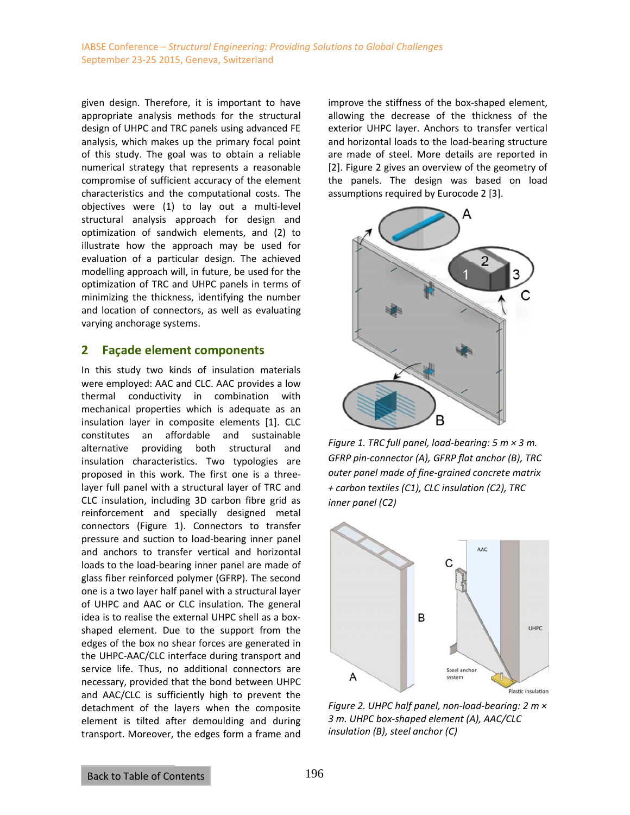given design. Therefore, it is important to have appropriate analysis methods for the structural design of UHPC and TRC panels using advanced FE analysis, which makes up the primary focal point of this study. The goal was to obtain a reliable numerical strategy that represents a reasonable compromise of sufficient accuracy of the element characteristics and the computational costs. The objectives were (1) to lay out a multi-level structural analysis approach for design and optimization of sandwich elements, and (2) to illustrate how the approach may be used for evaluation of a particular design. The achieved modelling approach will, in future, be used for the optimization of TRC and UHPC panels in terms of minimizing the thickness, identifying the number and location of connectors, as well as evaluating varying anchorage systems.

# **2 Façade element components**

In this study two kinds of insulation materials were employed: AAC and CLC. AAC provides a low thermal conductivity in combination with mechanical properties which is adequate as an insulation layer in composite elements [1]. CLC constitutes an affordable and sustainable alternative providing both structural and insulation characteristics. Two typologies are proposed in this work. The first one is a threelayer full panel with a structural layer of TRC and CLC insulation, including 3D carbon fibre grid as reinforcement and specially designed metal connectors (Figure 1). Connectors to transfer pressure and suction to load-bearing inner panel and anchors to transfer vertical and horizontal loads to the load-bearing inner panel are made of glass fiber reinforced polymer (GFRP). The second one is a two layer half panel with a structural layer of UHPC and AAC or CLC insulation. The general idea is to realise the external UHPC shell as a boxshaped element. Due to the support from the edges of the box no shear forces are generated in the UHPC-AAC/CLC interface during transport and service life. Thus, no additional connectors are necessary, provided that the bond between UHPC and AAC/CLC is sufficiently high to prevent the detachment of the layers when the composite element is tilted after demoulding and during transport. Moreover, the edges form a frame and improve the stiffness of the box-shaped element, allowing the decrease of the thickness of the exterior UHPC layer. Anchors to transfer vertical and horizontal loads to the load-bearing structure are made of steel. More details are reported in [2]. Figure 2 gives an overview of the geometry of the panels. The design was based on load assumptions required by Eurocode 2 [3].



*Figure 1. TRC full panel, load-bearing: 5 m × 3 m. GFRP pin-connector (A), GFRP flat anchor (B), TRC outer panel made of fine-grained concrete matrix + carbon textiles (C1), CLC insulation (C2), TRC inner panel (C2)* 



*Figure 2. UHPC half panel, non-load-bearing: 2 m × 3 m. UHPC box-shaped element (A), AAC/CLC insulation (B), steel anchor (C)*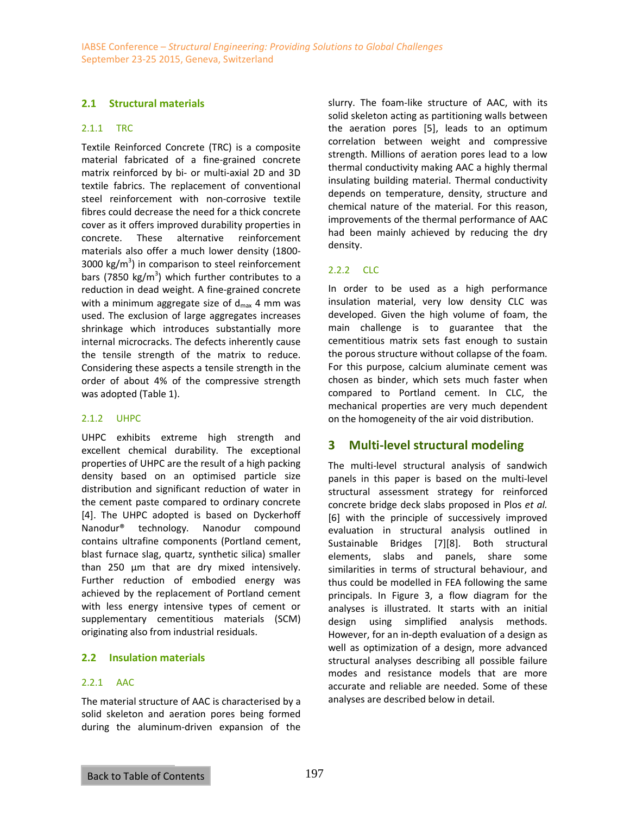# **2.1 Structural materials**

#### 2.1.1 TRC

Textile Reinforced Concrete (TRC) is a composite material fabricated of a fine-grained concrete matrix reinforced by bi- or multi-axial 2D and 3D textile fabrics. The replacement of conventional steel reinforcement with non-corrosive textile fibres could decrease the need for a thick concrete cover as it offers improved durability properties in concrete. These alternative reinforcement materials also offer a much lower density (1800- 3000 kg/m<sup>3</sup>) in comparison to steel reinforcement bars (7850 kg/m<sup>3</sup>) which further contributes to a reduction in dead weight. A fine-grained concrete with a minimum aggregate size of  $d_{\text{max}}$  4 mm was used. The exclusion of large aggregates increases shrinkage which introduces substantially more internal microcracks. The defects inherently cause the tensile strength of the matrix to reduce. Considering these aspects a tensile strength in the order of about 4% of the compressive strength was adopted (Table 1).

# 2.1.2 UHPC

UHPC exhibits extreme high strength and excellent chemical durability. The exceptional properties of UHPC are the result of a high packing density based on an optimised particle size distribution and significant reduction of water in the cement paste compared to ordinary concrete [4]. The UHPC adopted is based on Dyckerhoff Nanodur® technology. Nanodur compound contains ultrafine components (Portland cement, blast furnace slag, quartz, synthetic silica) smaller than 250 μm that are dry mixed intensively. Further reduction of embodied energy was achieved by the replacement of Portland cement with less energy intensive types of cement or supplementary cementitious materials (SCM) originating also from industrial residuals.

# **2.2 Insulation materials**

# 2.2.1 AAC

The material structure of AAC is characterised by a solid skeleton and aeration pores being formed during the aluminum-driven expansion of the slurry. The foam-like structure of AAC, with its solid skeleton acting as partitioning walls between the aeration pores [5], leads to an optimum correlation between weight and compressive strength. Millions of aeration pores lead to a low thermal conductivity making AAC a highly thermal insulating building material. Thermal conductivity depends on temperature, density, structure and chemical nature of the material. For this reason, improvements of the thermal performance of AAC had been mainly achieved by reducing the dry density.

# $222$  CLC

In order to be used as a high performance insulation material, very low density CLC was developed. Given the high volume of foam, the main challenge is to guarantee that the cementitious matrix sets fast enough to sustain the porous structure without collapse of the foam. For this purpose, calcium aluminate cement was chosen as binder, which sets much faster when compared to Portland cement. In CLC, the mechanical properties are very much dependent on the homogeneity of the air void distribution.

# **3 Multi-level structural modeling**

The multi-level structural analysis of sandwich panels in this paper is based on the multi-level structural assessment strategy for reinforced concrete bridge deck slabs proposed in Plos *et al.* [6] with the principle of successively improved evaluation in structural analysis outlined in Sustainable Bridges [7][8]. Both structural elements, slabs and panels, share some similarities in terms of structural behaviour, and thus could be modelled in FEA following the same principals. In Figure 3, a flow diagram for the analyses is illustrated. It starts with an initial design using simplified analysis methods. However, for an in-depth evaluation of a design as well as optimization of a design, more advanced structural analyses describing all possible failure modes and resistance models that are more accurate and reliable are needed. Some of these analyses are described below in detail.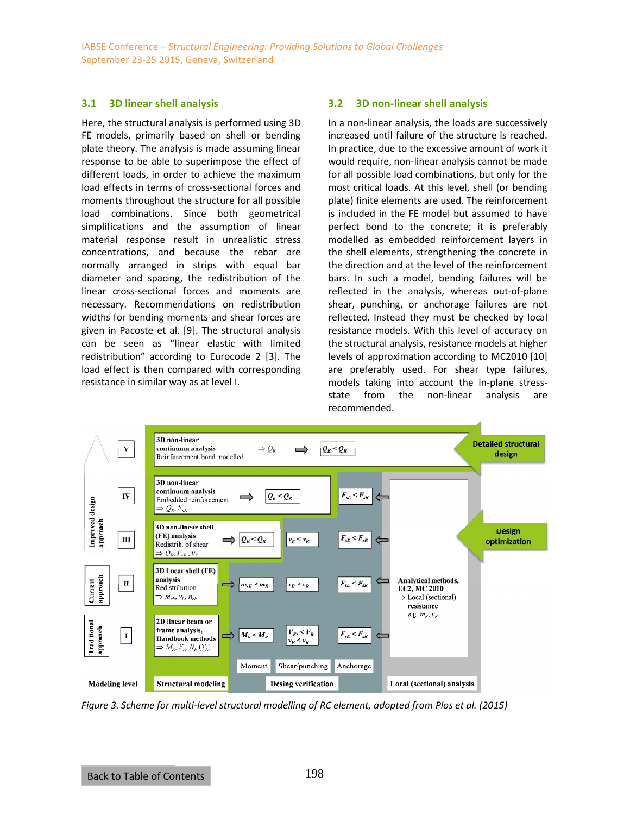#### **3.1 3D linear shell analysis**

Here, the structural analysis is performed using 3D FE models, primarily based on shell or bending plate theory. The analysis is made assuming linear response to be able to superimpose the effect of different loads, in order to achieve the maximum load effects in terms of cross-sectional forces and moments throughout the structure for all possible load combinations. Since both geometrical simplifications and the assumption of linear material response result in unrealistic stress concentrations, and because the rebar are normally arranged in strips with equal bar diameter and spacing, the redistribution of the linear cross-sectional forces and moments are necessary. Recommendations on redistribution widths for bending moments and shear forces are given in Pacoste et al. [9]. The structural analysis can be seen as "linear elastic with limited redistribution" according to Eurocode 2 [3]. The load effect is then compared with corresponding resistance in similar way as at level I.

#### **3.2 3D non-linear shell analysis**

In a non-linear analysis, the loads are successively increased until failure of the structure is reached. In practice, due to the excessive amount of work it would require, non-linear analysis cannot be made for all possible load combinations, but only for the most critical loads. At this level, shell (or bending plate) finite elements are used. The reinforcement is included in the FE model but assumed to have perfect bond to the concrete; it is preferably modelled as embedded reinforcement layers in the shell elements, strengthening the concrete in the direction and at the level of the reinforcement bars. In such a model, bending failures will be reflected in the analysis, whereas out-of-plane shear, punching, or anchorage failures are not reflected. Instead they must be checked by local resistance models. With this level of accuracy on the structural analysis, resistance models at higher levels of approximation according to MC2010 [10] are preferably used. For shear type failures, models taking into account the in-plane stressstate from the non-linear analysis are recommended.



*Figure 3. Scheme for multi-level structural modelling of RC element, adopted from Plos et al. (2015)*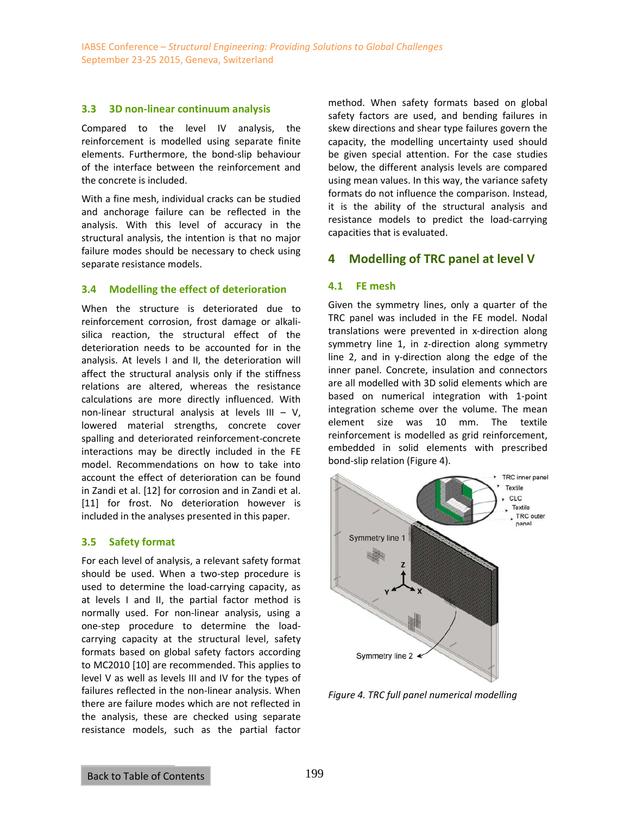#### **3.3 3D non-linear continuum analysis**

Compared to the level IV analysis, the reinforcement is modelled using separate finite elements. Furthermore, the bond-slip behaviour of the interface between the reinforcement and the concrete is included.

With a fine mesh, individual cracks can be studied and anchorage failure can be reflected in the analysis. With this level of accuracy in the structural analysis, the intention is that no major failure modes should be necessary to check using separate resistance models.

#### **3.4 Modelling the effect of deterioration**

When the structure is deteriorated due to reinforcement corrosion, frost damage or alkalisilica reaction, the structural effect of the deterioration needs to be accounted for in the analysis. At levels I and II, the deterioration will affect the structural analysis only if the stiffness relations are altered, whereas the resistance calculations are more directly influenced. With non-linear structural analysis at levels  $III - V$ , lowered material strengths, concrete cover spalling and deteriorated reinforcement-concrete interactions may be directly included in the FE model. Recommendations on how to take into account the effect of deterioration can be found in Zandi et al. [12] for corrosion and in Zandi et al. [11] for frost. No deterioration however is included in the analyses presented in this paper.

# **3.5 Safety format**

For each level of analysis, a relevant safety format should be used. When a two-step procedure is used to determine the load-carrying capacity, as at levels I and II, the partial factor method is normally used. For non-linear analysis, using a one-step procedure to determine the loadcarrying capacity at the structural level, safety formats based on global safety factors according to MC2010 [10] are recommended. This applies to level V as well as levels III and IV for the types of failures reflected in the non-linear analysis. When there are failure modes which are not reflected in the analysis, these are checked using separate resistance models, such as the partial factor method. When safety formats based on global safety factors are used, and bending failures in skew directions and shear type failures govern the capacity, the modelling uncertainty used should be given special attention. For the case studies below, the different analysis levels are compared using mean values. In this way, the variance safety formats do not influence the comparison. Instead, it is the ability of the structural analysis and resistance models to predict the load-carrying capacities that is evaluated.

# **4 Modelling of TRC panel at level V**

# **4.1 FE mesh**

Given the symmetry lines, only a quarter of the TRC panel was included in the FE model. Nodal translations were prevented in x-direction along symmetry line 1, in z-direction along symmetry line 2, and in y-direction along the edge of the inner panel. Concrete, insulation and connectors are all modelled with 3D solid elements which are based on numerical integration with 1-point integration scheme over the volume. The mean element size was 10 mm. The textile reinforcement is modelled as grid reinforcement, embedded in solid elements with prescribed bond-slip relation (Figure 4).



*Figure 4. TRC full panel numerical modelling*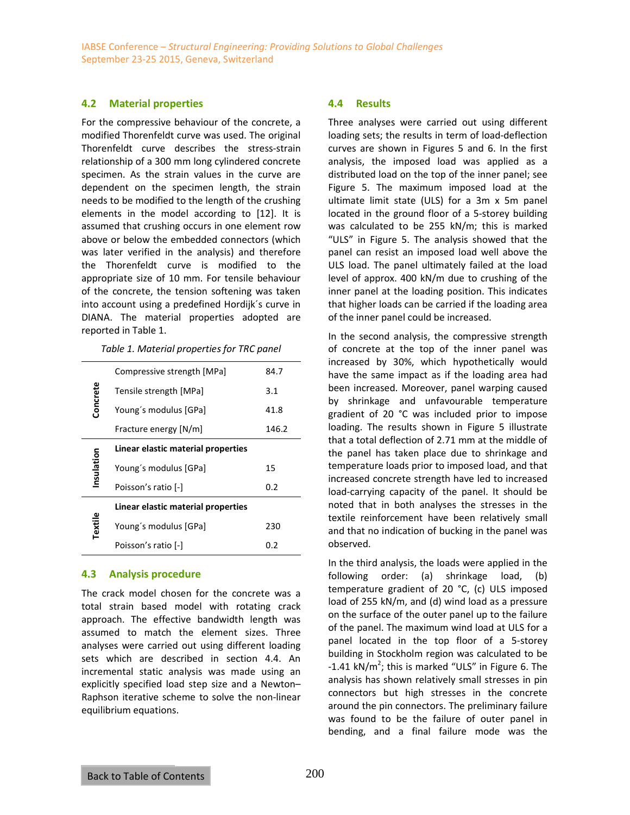#### **4.2 Material properties**

For the compressive behaviour of the concrete, a modified Thorenfeldt curve was used. The original Thorenfeldt curve describes the stress-strain relationship of a 300 mm long cylindered concrete specimen. As the strain values in the curve are dependent on the specimen length, the strain needs to be modified to the length of the crushing elements in the model according to [12]. It is assumed that crushing occurs in one element row above or below the embedded connectors (which was later verified in the analysis) and therefore the Thorenfeldt curve is modified to the appropriate size of 10 mm. For tensile behaviour of the concrete, the tension softening was taken into account using a predefined Hordijk´s curve in DIANA. The material properties adopted are reported in Table 1.

*Table 1. Material properties for TRC panel* 

| Compressive strength [MPa]         | 84.7  |
|------------------------------------|-------|
| Tensile strength [MPa]             | 3.1   |
| Young's modulus [GPa]              | 41.8  |
| Fracture energy [N/m]              | 146.2 |
| Linear elastic material properties |       |
| Young's modulus [GPa]              | 15    |
| Poisson's ratio [-]                | 0.2   |
| Linear elastic material properties |       |
| Young's modulus [GPa]              | 230   |
| Poisson's ratio [-]                | 0.2   |
|                                    |       |

#### **4.3 Analysis procedure**

The crack model chosen for the concrete was a total strain based model with rotating crack approach. The effective bandwidth length was assumed to match the element sizes. Three analyses were carried out using different loading sets which are described in section 4.4. An incremental static analysis was made using an explicitly specified load step size and a Newton– Raphson iterative scheme to solve the non-linear equilibrium equations.

#### **4.4 Results**

Three analyses were carried out using different loading sets; the results in term of load-deflection curves are shown in Figures 5 and 6. In the first analysis, the imposed load was applied as a distributed load on the top of the inner panel; see Figure 5. The maximum imposed load at the ultimate limit state (ULS) for a 3m x 5m panel located in the ground floor of a 5-storey building was calculated to be 255 kN/m; this is marked "ULS" in Figure 5. The analysis showed that the panel can resist an imposed load well above the ULS load. The panel ultimately failed at the load level of approx. 400 kN/m due to crushing of the inner panel at the loading position. This indicates that higher loads can be carried if the loading area of the inner panel could be increased.

In the second analysis, the compressive strength of concrete at the top of the inner panel was increased by 30%, which hypothetically would have the same impact as if the loading area had been increased. Moreover, panel warping caused by shrinkage and unfavourable temperature gradient of 20 °C was included prior to impose loading. The results shown in Figure 5 illustrate that a total deflection of 2.71 mm at the middle of the panel has taken place due to shrinkage and temperature loads prior to imposed load, and that increased concrete strength have led to increased load-carrying capacity of the panel. It should be noted that in both analyses the stresses in the textile reinforcement have been relatively small and that no indication of bucking in the panel was observed.

In the third analysis, the loads were applied in the following order: (a) shrinkage load, (b) temperature gradient of 20 °C, (c) ULS imposed load of 255 kN/m, and (d) wind load as a pressure on the surface of the outer panel up to the failure of the panel. The maximum wind load at ULS for a panel located in the top floor of a 5-storey building in Stockholm region was calculated to be  $-1.41$  kN/m<sup>2</sup>; this is marked "ULS" in Figure 6. The analysis has shown relatively small stresses in pin connectors but high stresses in the concrete around the pin connectors. The preliminary failure was found to be the failure of outer panel in bending, and a final failure mode was the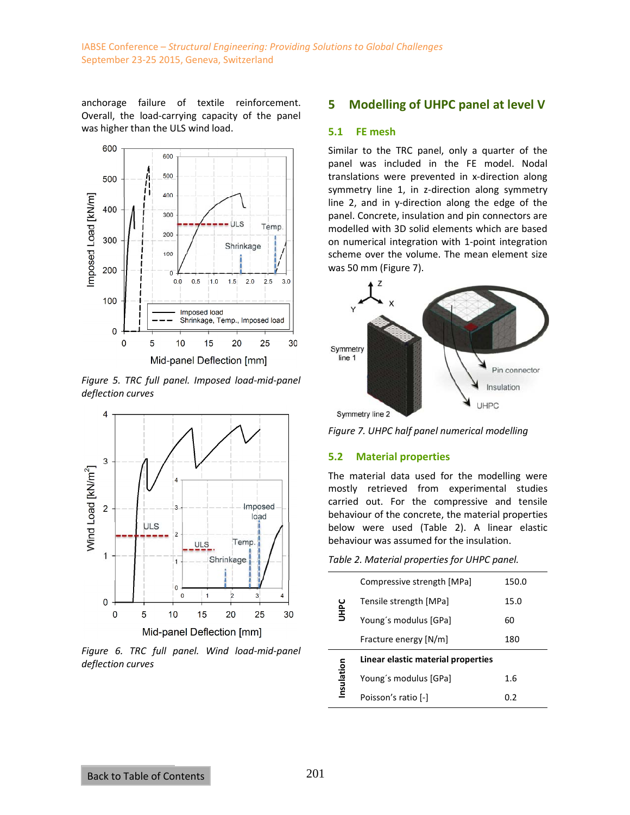anchorage failure of textile reinforcement. Overall, the load-carrying capacity of the panel was higher than the ULS wind load.



*Figure 5. TRC full panel. Imposed load-mid-panel deflection curves* 



*Figure 6. TRC full panel. Wind load-mid-panel deflection curves* 

# **5 Modelling of UHPC panel at level V**

#### **5.1 FE mesh**

Similar to the TRC panel, only a quarter of the panel was included in the FE model. Nodal translations were prevented in x-direction along symmetry line 1, in z-direction along symmetry line 2, and in y-direction along the edge of the panel. Concrete, insulation and pin connectors are modelled with 3D solid elements which are based on numerical integration with 1-point integration scheme over the volume. The mean element size was 50 mm (Figure 7).





# **5.2 Material properties**

The material data used for the modelling were mostly retrieved from experimental studies carried out. For the compressive and tensile behaviour of the concrete, the material properties below were used (Table 2). A linear elastic behaviour was assumed for the insulation.

*Table 2. Material properties for UHPC panel.* 

| <b>UHPC</b> | Compressive strength [MPa]         | 150.0 |
|-------------|------------------------------------|-------|
|             | Tensile strength [MPa]             | 15.0  |
|             | Young's modulus [GPa]              | 60    |
|             | Fracture energy [N/m]              | 180   |
|             | Linear elastic material properties |       |
| Insulation  | Young's modulus [GPa]              | 1.6   |
|             | Poisson's ratio [-]                | 0.2   |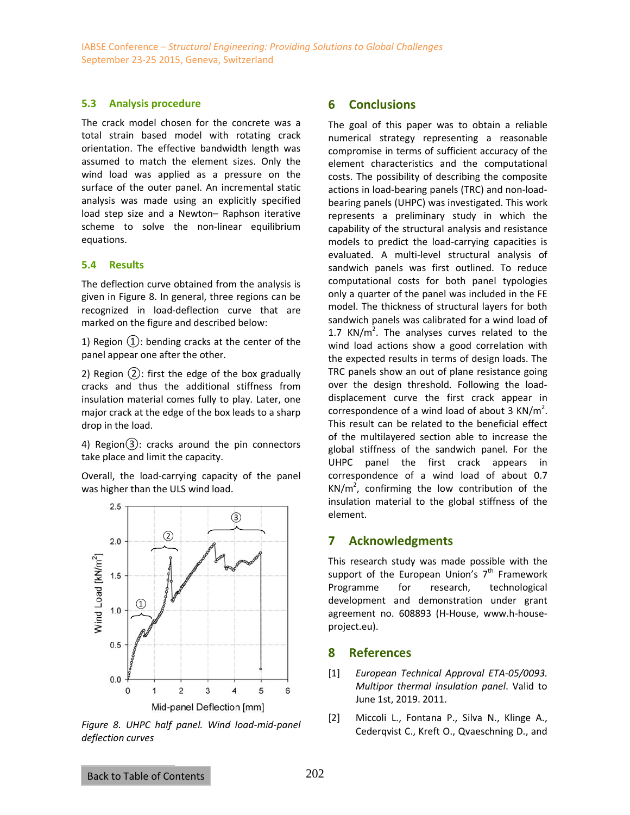#### **5.3 Analysis procedure**

The crack model chosen for the concrete was a total strain based model with rotating crack orientation. The effective bandwidth length was assumed to match the element sizes. Only the wind load was applied as a pressure on the surface of the outer panel. An incremental static analysis was made using an explicitly specified load step size and a Newton– Raphson iterative scheme to solve the non-linear equilibrium equations.

#### **5.4 Results**

The deflection curve obtained from the analysis is given in Figure 8. In general, three regions can be recognized in load-deflection curve that are marked on the figure and described below:

1) Region  $(1)$ : bending cracks at the center of the panel appear one after the other.

2) Region ②: first the edge of the box gradually cracks and thus the additional stiffness from insulation material comes fully to play. Later, one major crack at the edge of the box leads to a sharp drop in the load.

4) Region $(3)$ : cracks around the pin connectors take place and limit the capacity.

Overall, the load-carrying capacity of the panel was higher than the ULS wind load.



*Figure 8. UHPC half panel. Wind load-mid-panel deflection curves*

# **6 Conclusions**

The goal of this paper was to obtain a reliable numerical strategy representing a reasonable compromise in terms of sufficient accuracy of the element characteristics and the computational costs. The possibility of describing the composite actions in load-bearing panels (TRC) and non-loadbearing panels (UHPC) was investigated. This work represents a preliminary study in which the capability of the structural analysis and resistance models to predict the load-carrying capacities is evaluated. A multi-level structural analysis of sandwich panels was first outlined. To reduce computational costs for both panel typologies only a quarter of the panel was included in the FE model. The thickness of structural layers for both sandwich panels was calibrated for a wind load of 1.7 KN/ $m^2$ . The analyses curves related to the wind load actions show a good correlation with the expected results in terms of design loads. The TRC panels show an out of plane resistance going over the design threshold. Following the loaddisplacement curve the first crack appear in correspondence of a wind load of about 3  $KN/m^2$ . This result can be related to the beneficial effect of the multilayered section able to increase the global stiffness of the sandwich panel. For the UHPC panel the first crack appears in correspondence of a wind load of about 0.7  $KN/m^2$ , confirming the low contribution of the insulation material to the global stiffness of the element.

# **7 Acknowledgments**

This research study was made possible with the support of the European Union's  $7<sup>th</sup>$  Framework Programme for research, technological development and demonstration under grant agreement no. 608893 (H-House, www.h-houseproject.eu).

# **8 References**

- [1] *European Technical Approval ETA-05/0093. Multipor thermal insulation panel*. Valid to June 1st, 2019. 2011.
- [2] Miccoli L., Fontana P., Silva N., Klinge A., Cederqvist C., Kreft O., Qvaeschning D., and